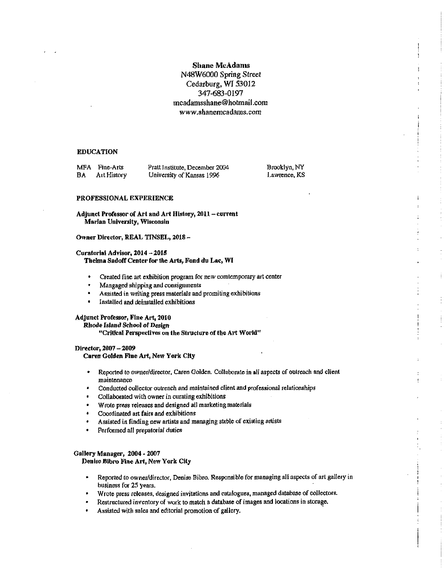# **Shane McAdams** N48W6000 Spring Street Cedarburg, WI 53012 347-683-0197 mcadamsshane@hotmail.com www.shanemcadams.com

## **EDUCATION**

| MFA | <b>Fine-Arts</b> | Pra |
|-----|------------------|-----|
| BА  | Art History      | Uni |

tt Institute, December 2004 iversity of Kansas 1996

Brooklyn, NY Lawrence, KS

j.

## PROFESSIONAL EXPERIENCE

## Adjunct Professor of Art and Art History, 2011 - current Marian University, Wisconsin

#### Owner Director, REAL TINSEL, 2018-

### Curatorial Advisor, 2014 - 2015 Thelma Sadoff Center for the Arts, Fond du Lac, WI

- Created fine art exhibition program for new comtemporary art center
- Mangaged shipping and consignments  $\bullet$
- Assisted in writing press materials and promiting exhibitions
- Installed and deinstalled exhibitions

# Adjunct Professor, Fine Art, 2010

Rhode Island School of Design

### "Critical Perspectives on the Structure of the Art World"

# Director, 2007 - 2009

Caren Golden Fine Art, New York City

- Reported to owner/director, Caren Golden. Collaborate in all aspects of outreach and client  $\bullet$ maintenance
- Conducted collector outreach and maintained client and professional relationships
- Collaborated with owner in curating exhibitions
- Wrote press releases and designed all marketing materials
- Coordinated art fairs and exhibitions
- Assisted in finding new artists and managing stable of existing artists
- $\bullet$ Performed all prepatorial duties

## Gallery Manager, 2004 - 2007 Denise Bibro Fine Art, New York City

- Reported to owner/director, Denise Bibro. Responsible for managing all aspects of art gallery in business for 25 years.
- · Wrote press releases, designed invitations and catalogues, managed database of collectors.
- Restructured inventory of work to match a database of images and locations in storage.
- Assisted with sales and editorial promotion of gallery.  $\bullet$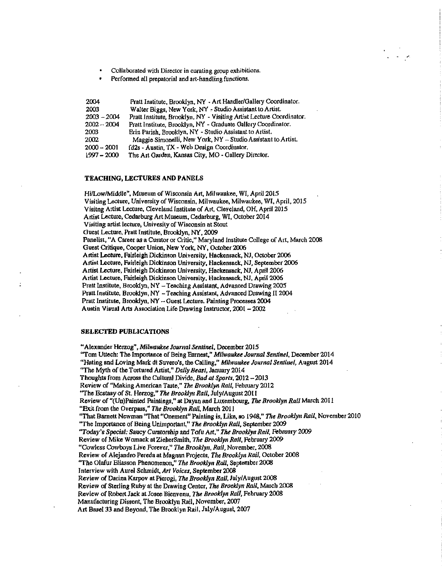Collaborated with Director in curating group exhibitions.

Perfonned all prepatorial and art-handling functions,

| 2004          | Pratt Institute, Brooklyn, NY - Art Handler/Gallery Coordinator.     |
|---------------|----------------------------------------------------------------------|
| 2003          | Walter Biggs, New York, NY - Studio Assistant to Artist.             |
| $2003 - 2004$ | Pratt Institute, Brooklyn, NY - Visiting Artist Lecture Coordinator. |
| $2002 - 2004$ | Pratt Institute, Brooklyn, NY - Graduate Gallery Coordinator.        |
| 2003          | Erin Parish, Brooklyn, NY - Studio Assistant to Artist.              |
| 2002          | Maggie Simonelli, New York, NY - Studio Assistant to Artist.         |
| $2000 - 2001$ | fd2s - Austin, TX - Web Design Coordinator.                          |
| $1997 - 2000$ | The Art Garden, Kansas City, MO - Gallery Director.                  |

#### TEACH1NG, LECTURES AND PANELS

Hi/Low/Middle", Museum of Wisconsin Art, Milwaukee, WI, April 2015 Visiting Lecture. University of Wisconsin, Milwaukee, Milwaukee, WI, April, 2015 Visitng Artist Lecture, Cleveland Institute of Art, Cleveland, OH, April 2015 Artiat Lcctute, Cedarburg Art Museum, Cedarburg, WI, October 2014 Visiting artist lecture, Univesity of Wisconsin at Stout Guest Lecture, Pratt Institute, Brooklyn, NY, 2009 Panelist, "A Career as <sup>a</sup> Curator or Critic," Maryland Inslitute College of Art, March <sup>2008</sup> Guest Critique. Cooper Union. New York, NY, Oetober 2006 Artist Lecture, Fairleigh Dickinson University, Hackensack, NJ. October 2006 Artist Lecture, Fairleigh Dickinson University, Hackensack, NJ, September 2006 Artist Lecturc, Fairieigh Dickinson University, Hackensack, NJ, Aprit 2006 Artist Lecture, Fairleigh Dickinaon Univergliy. Hackenaack, NJ, April 2006 Pratt Institute, Brooklyn. NY - Teaching Assistant. Advanced Drawing 2005 Pratt Institute, Brooklyn, NY -Teaching Assistant, Advanced Drawing II 2004 Pratt Institute, Brooklyn, NY - Guest Lecture. Painting Processes 2004 Austin Visual Arts Association Life Drawing Instruclor. <sup>2001</sup> - <sup>2002</sup>

## SELECTED PUBLICATIONS

"Alexander Herzog", *Milwaukee Journal Sentinel*. December 2015<br>"Tom Uttech: The Importance of Being Earnest," *Milwaukee Journal Sentinel*. December 2014 "Hating and Loving Mark di Suvero's, the Calling," Milwaukee Journal Sentinel, August 2014 "The Myth of the Tortured Artist," Daily Beast, January 2014 Thoughts from Across the Cultural Divide, Bad at Sports, 2012 - 2013 Review of "Making American Taste," The Brooklyn Rail, February 2012 "The Ecstasy of St. Herzog," The Brooklyn Rail, July/August 2011 Review of "(Un)Painted Paintings," at Dayan and Luxembourg, The Brooklyn Rail March 2011 "Exit from the Overpass," The Brooklyn Rail, March 2011 "That Barnett Newman "That "Onement" Painting is, Like, so 1948," The Brooklyn Rall, November 2010 "The Importance of Being Unimportant," The Brooklyn Rall, September 2009 "Today's Special: Saucy Curatorship and Tofu Art." The Brooklyn Rail, February 2009 Review of Mike Womack at ZieherSmith, The Brooklyn Rall, February 2009 "Cowless Cowboys Live Forever," The Brooklyn, Rail, November, 2008 Review of Alejandro Pereda at Magnan Projects. The Brooklyn Rail, October 2008 "The Olafur Eliasson Phenomenon," The Brooklyn Rail, September 2008 Interview with Aurel Schmidt. Art Voices, September 2008 Review of Darina Karpov at Pierogi, The Brooklyn Rail, July/August 2008 Review of Sterling Ruby at the Drawing Center, The Brooklyn Rail, March 2008 Review of Robert Jack at Josee Bienvenu, The Brooklyn Rail, February 2008 Manufacturing Dissent, The Brooklyn Rail, November, 2007 Art Basel 33 and Beyond. The Brooklyn Rail, July/August, 2007